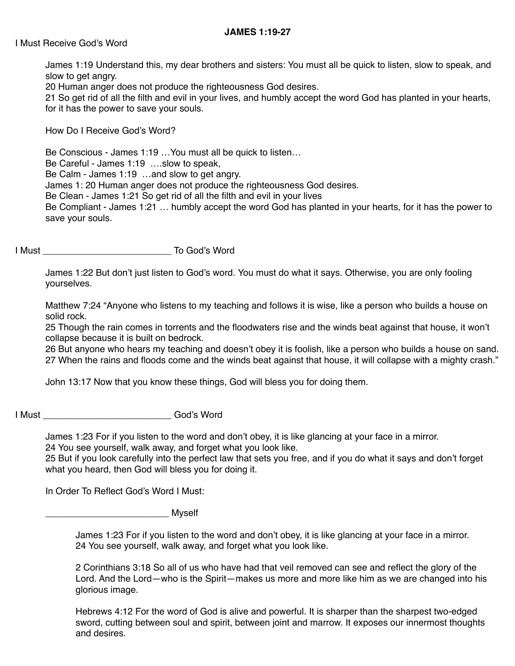## **JAMES 1:19-27**

## I Must Receive God's Word

James 1:19 Understand this, my dear brothers and sisters: You must all be quick to listen, slow to speak, and slow to get angry.

20 Human anger does not produce the righteousness God desires.

21 So get rid of all the filth and evil in your lives, and humbly accept the word God has planted in your hearts, for it has the power to save your souls.

How Do I Receive God's Word?

Be Conscious - James 1:19 …You must all be quick to listen…

Be Careful - James 1:19 ….slow to speak,

Be Calm - James 1:19 …and slow to get angry.

James 1: 20 Human anger does not produce the righteousness God desires.

Be Clean - James 1:21 So get rid of all the filth and evil in your lives

Be Compliant - James 1:21 … humbly accept the word God has planted in your hearts, for it has the power to save your souls.

I Must \_\_\_\_\_\_\_\_\_\_\_\_\_\_\_\_\_\_\_\_\_\_\_\_\_ To God's Word

James 1:22 But don't just listen to God's word. You must do what it says. Otherwise, you are only fooling yourselves.

Matthew 7:24 "Anyone who listens to my teaching and follows it is wise, like a person who builds a house on solid rock.

25 Though the rain comes in torrents and the floodwaters rise and the winds beat against that house, it won't collapse because it is built on bedrock.

26 But anyone who hears my teaching and doesn't obey it is foolish, like a person who builds a house on sand. 27 When the rains and floods come and the winds beat against that house, it will collapse with a mighty crash."

John 13:17 Now that you know these things, God will bless you for doing them.

I Must **All Community** God's Word

James 1:23 For if you listen to the word and don't obey, it is like glancing at your face in a mirror. 24 You see yourself, walk away, and forget what you look like.

25 But if you look carefully into the perfect law that sets you free, and if you do what it says and don't forget what you heard, then God will bless you for doing it.

In Order To Reflect God's Word I Must:

\_\_\_\_\_\_\_\_\_\_\_\_\_\_\_\_\_\_\_\_\_\_\_\_ Myself

James 1:23 For if you listen to the word and don't obey, it is like glancing at your face in a mirror. 24 You see yourself, walk away, and forget what you look like.

2 Corinthians 3:18 So all of us who have had that veil removed can see and reflect the glory of the Lord. And the Lord—who is the Spirit—makes us more and more like him as we are changed into his glorious image.

Hebrews 4:12 For the word of God is alive and powerful. It is sharper than the sharpest two-edged sword, cutting between soul and spirit, between joint and marrow. It exposes our innermost thoughts and desires.